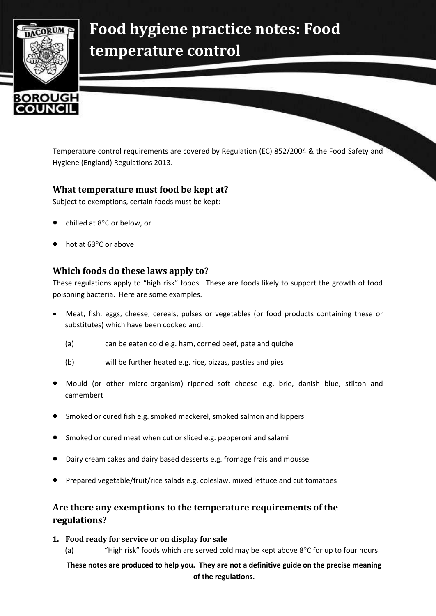

# **Food hygiene practice notes: Food temperature control**

Temperature control requirements are covered by Regulation (EC) 852/2004 & the Food Safety and Hygiene (England) Regulations 2013.

# **What temperature must food be kept at?**

Subject to exemptions, certain foods must be kept:

- chilled at 8°C or below, or
- hot at 63°C or above

# **Which foods do these laws apply to?**

These regulations apply to "high risk" foods. These are foods likely to support the growth of food poisoning bacteria. Here are some examples.

- Meat, fish, eggs, cheese, cereals, pulses or vegetables (or food products containing these or substitutes) which have been cooked and:
	- (a) can be eaten cold e.g. ham, corned beef, pate and quiche
	- (b) will be further heated e.g. rice, pizzas, pasties and pies
- Mould (or other micro-organism) ripened soft cheese e.g. brie, danish blue, stilton and camembert
- Smoked or cured fish e.g. smoked mackerel, smoked salmon and kippers
- Smoked or cured meat when cut or sliced e.g. pepperoni and salami
- Dairy cream cakes and dairy based desserts e.g. fromage frais and mousse
- Prepared vegetable/fruit/rice salads e.g. coleslaw, mixed lettuce and cut tomatoes

# **Are there any exemptions to the temperature requirements of the regulations?**

#### **1. Food ready for service or on display for sale**

(a) "High risk" foods which are served cold may be kept above  $8^{\circ}$ C for up to four hours.

**These notes are produced to help you. They are not a definitive guide on the precise meaning of the regulations.**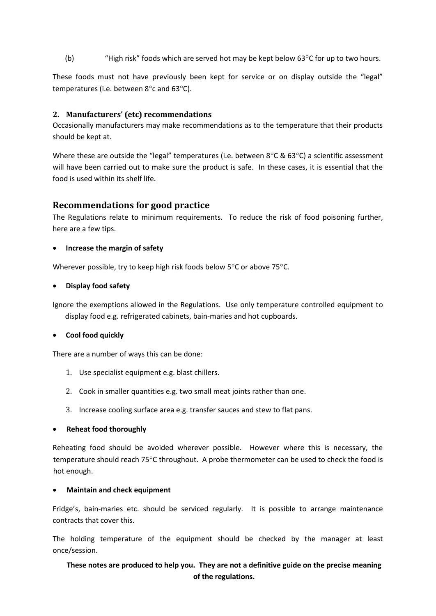(b) "High risk" foods which are served hot may be kept below  $63^{\circ}$ C for up to two hours.

These foods must not have previously been kept for service or on display outside the "legal" temperatures (i.e. between  $8^{\circ}$ c and  $63^{\circ}$ C).

#### **2. Manufacturers' (etc) recommendations**

Occasionally manufacturers may make recommendations as to the temperature that their products should be kept at.

Where these are outside the "legal" temperatures (i.e. between  $8^{\circ}$ C &  $63^{\circ}$ C) a scientific assessment will have been carried out to make sure the product is safe. In these cases, it is essential that the food is used within its shelf life.

### **Recommendations for good practice**

The Regulations relate to minimum requirements. To reduce the risk of food poisoning further, here are a few tips.

#### **Increase the margin of safety**

Wherever possible, try to keep high risk foods below  $5^{\circ}$ C or above 75 $^{\circ}$ C.

#### **Display food safety**

Ignore the exemptions allowed in the Regulations. Use only temperature controlled equipment to display food e.g. refrigerated cabinets, bain-maries and hot cupboards.

#### **Cool food quickly**

There are a number of ways this can be done:

- 1. Use specialist equipment e.g. blast chillers.
- 2. Cook in smaller quantities e.g. two small meat joints rather than one.
- 3. Increase cooling surface area e.g. transfer sauces and stew to flat pans.

#### **Reheat food thoroughly**

Reheating food should be avoided wherever possible. However where this is necessary, the temperature should reach 75°C throughout. A probe thermometer can be used to check the food is hot enough.

#### **Maintain and check equipment**

Fridge's, bain-maries etc. should be serviced regularly. It is possible to arrange maintenance contracts that cover this.

The holding temperature of the equipment should be checked by the manager at least once/session.

# **These notes are produced to help you. They are not a definitive guide on the precise meaning of the regulations.**